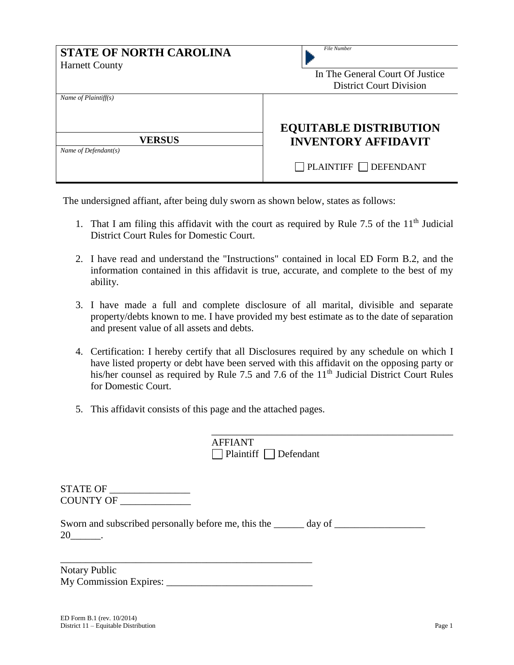| <b>STATE OF NORTH CAROLINA</b><br><b>Harnett County</b> | <b>File Number</b><br>In The General Court Of Justice<br><b>District Court Division</b> |
|---------------------------------------------------------|-----------------------------------------------------------------------------------------|
| Name of $Plaintiff(s)$                                  | <b>EQUITABLE DISTRIBUTION</b>                                                           |
| <b>VERSUS</b>                                           | <b>INVENTORY AFFIDAVIT</b>                                                              |
| Name of Defendant(s)                                    | $\Box$ PLAINTIFF $\Box$ DEFENDANT                                                       |

The undersigned affiant, after being duly sworn as shown below, states as follows:

- 1. That I am filing this affidavit with the court as required by Rule 7.5 of the  $11<sup>th</sup>$  Judicial District Court Rules for Domestic Court.
- 2. I have read and understand the "Instructions" contained in local ED Form B.2, and the information contained in this affidavit is true, accurate, and complete to the best of my ability.
- 3. I have made a full and complete disclosure of all marital, divisible and separate property/debts known to me. I have provided my best estimate as to the date of separation and present value of all assets and debts.
- 4. Certification: I hereby certify that all Disclosures required by any schedule on which I have listed property or debt have been served with this affidavit on the opposing party or his/her counsel as required by Rule 7.5 and 7.6 of the 11<sup>th</sup> Judicial District Court Rules for Domestic Court.
- 5. This affidavit consists of this page and the attached pages.

|                       | <b>AFFIANT</b><br>$\Box$ Plaintiff $\Box$ Defendant                               |
|-----------------------|-----------------------------------------------------------------------------------|
| STATE OF<br>COUNTY OF |                                                                                   |
| 20                    | Sworn and subscribed personally before me, this the ______ day of _______________ |

\_\_\_\_\_\_\_\_\_\_\_\_\_\_\_\_\_\_\_\_\_\_\_\_\_\_\_\_\_\_\_\_\_\_\_\_\_\_\_\_\_\_\_\_\_\_\_\_

\_\_\_\_\_\_\_\_\_\_\_\_\_\_\_\_\_\_\_\_\_\_\_\_\_\_\_\_\_\_\_\_\_\_\_\_\_\_\_\_\_\_\_\_\_\_\_\_\_\_ Notary Public My Commission Expires: \_\_\_\_\_\_\_\_\_\_\_\_\_\_\_\_\_\_\_\_\_\_\_\_\_\_\_\_\_

20\_\_\_\_\_\_.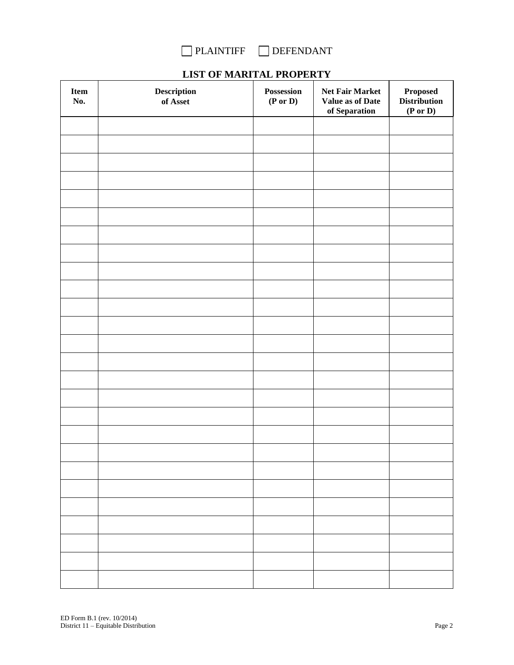

| <b>LIST OF MARITAL PROPERTY</b> |  |  |  |  |  |
|---------------------------------|--|--|--|--|--|
|---------------------------------|--|--|--|--|--|

| Item<br>No. | $\begin{minipage}{.4\linewidth} \textbf{Description} \end{minipage} \vspace{-0.3mm}$<br>of Asset | Possession<br>$(P \text{ or } D)$ | Net Fair Market<br>Value as of Date<br>of Separation | $\boldsymbol{\mathsf{Proposed}}$<br><b>Distribution</b><br>$(\mathbf{P} \text{ or } \mathbf{D})$ |
|-------------|--------------------------------------------------------------------------------------------------|-----------------------------------|------------------------------------------------------|--------------------------------------------------------------------------------------------------|
|             |                                                                                                  |                                   |                                                      |                                                                                                  |
|             |                                                                                                  |                                   |                                                      |                                                                                                  |
|             |                                                                                                  |                                   |                                                      |                                                                                                  |
|             |                                                                                                  |                                   |                                                      |                                                                                                  |
|             |                                                                                                  |                                   |                                                      |                                                                                                  |
|             |                                                                                                  |                                   |                                                      |                                                                                                  |
|             |                                                                                                  |                                   |                                                      |                                                                                                  |
|             |                                                                                                  |                                   |                                                      |                                                                                                  |
|             |                                                                                                  |                                   |                                                      |                                                                                                  |
|             |                                                                                                  |                                   |                                                      |                                                                                                  |
|             |                                                                                                  |                                   |                                                      |                                                                                                  |
|             |                                                                                                  |                                   |                                                      |                                                                                                  |
|             |                                                                                                  |                                   |                                                      |                                                                                                  |
|             |                                                                                                  |                                   |                                                      |                                                                                                  |
|             |                                                                                                  |                                   |                                                      |                                                                                                  |
|             |                                                                                                  |                                   |                                                      |                                                                                                  |
|             |                                                                                                  |                                   |                                                      |                                                                                                  |
|             |                                                                                                  |                                   |                                                      |                                                                                                  |
|             |                                                                                                  |                                   |                                                      |                                                                                                  |
|             |                                                                                                  |                                   |                                                      |                                                                                                  |
|             |                                                                                                  |                                   |                                                      |                                                                                                  |
|             |                                                                                                  |                                   |                                                      |                                                                                                  |
|             |                                                                                                  |                                   |                                                      |                                                                                                  |
|             |                                                                                                  |                                   |                                                      |                                                                                                  |
|             |                                                                                                  |                                   |                                                      |                                                                                                  |
|             |                                                                                                  |                                   |                                                      |                                                                                                  |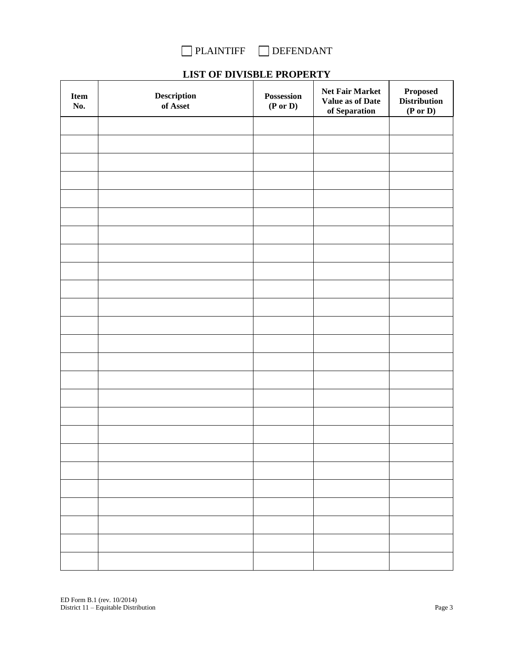

# **LIST OF DIVISBLE PROPERTY**

| Item<br>No. | $\begin{minipage}{.4\linewidth} \textbf{Description} \end{minipage} \vspace{-0.5em}$<br>of Asset | Possession<br>$(P \text{ or } D)$ | Net Fair Market<br>Value as of Date<br>of Separation | $\boldsymbol{\mathsf{Proposed}}$<br><b>Distribution</b><br>$(P \text{ or } D)$ |
|-------------|--------------------------------------------------------------------------------------------------|-----------------------------------|------------------------------------------------------|--------------------------------------------------------------------------------|
|             |                                                                                                  |                                   |                                                      |                                                                                |
|             |                                                                                                  |                                   |                                                      |                                                                                |
|             |                                                                                                  |                                   |                                                      |                                                                                |
|             |                                                                                                  |                                   |                                                      |                                                                                |
|             |                                                                                                  |                                   |                                                      |                                                                                |
|             |                                                                                                  |                                   |                                                      |                                                                                |
|             |                                                                                                  |                                   |                                                      |                                                                                |
|             |                                                                                                  |                                   |                                                      |                                                                                |
|             |                                                                                                  |                                   |                                                      |                                                                                |
|             |                                                                                                  |                                   |                                                      |                                                                                |
|             |                                                                                                  |                                   |                                                      |                                                                                |
|             |                                                                                                  |                                   |                                                      |                                                                                |
|             |                                                                                                  |                                   |                                                      |                                                                                |
|             |                                                                                                  |                                   |                                                      |                                                                                |
|             |                                                                                                  |                                   |                                                      |                                                                                |
|             |                                                                                                  |                                   |                                                      |                                                                                |
|             |                                                                                                  |                                   |                                                      |                                                                                |
|             |                                                                                                  |                                   |                                                      |                                                                                |
|             |                                                                                                  |                                   |                                                      |                                                                                |
|             |                                                                                                  |                                   |                                                      |                                                                                |
|             |                                                                                                  |                                   |                                                      |                                                                                |
|             |                                                                                                  |                                   |                                                      |                                                                                |
|             |                                                                                                  |                                   |                                                      |                                                                                |
|             |                                                                                                  |                                   |                                                      |                                                                                |
|             |                                                                                                  |                                   |                                                      |                                                                                |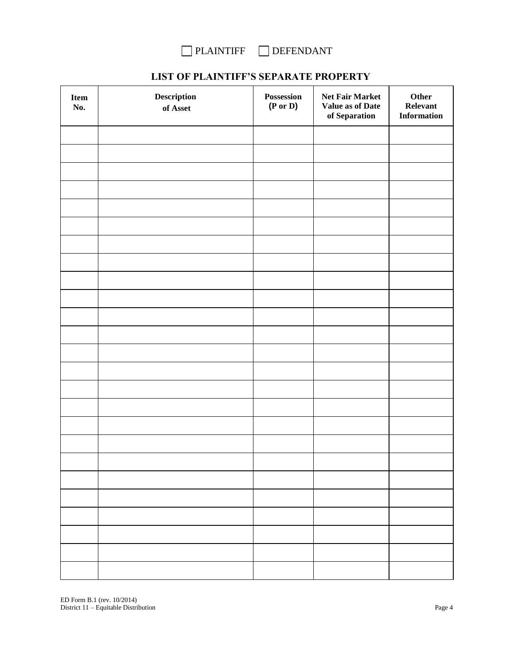

# **LIST OF PLAINTIFF'S SEPARATE PROPERTY**

| Item<br>No. | $\begin{minipage}{.4\linewidth} \textbf{Description} \end{minipage} \vspace{-0.3mm}$<br>of Asset $\,$ | Possession<br>(P or D) | Net Fair Market<br>Value as of Date<br>of Separation | Other<br>Relevant<br><b>Information</b> |
|-------------|-------------------------------------------------------------------------------------------------------|------------------------|------------------------------------------------------|-----------------------------------------|
|             |                                                                                                       |                        |                                                      |                                         |
|             |                                                                                                       |                        |                                                      |                                         |
|             |                                                                                                       |                        |                                                      |                                         |
|             |                                                                                                       |                        |                                                      |                                         |
|             |                                                                                                       |                        |                                                      |                                         |
|             |                                                                                                       |                        |                                                      |                                         |
|             |                                                                                                       |                        |                                                      |                                         |
|             |                                                                                                       |                        |                                                      |                                         |
|             |                                                                                                       |                        |                                                      |                                         |
|             |                                                                                                       |                        |                                                      |                                         |
|             |                                                                                                       |                        |                                                      |                                         |
|             |                                                                                                       |                        |                                                      |                                         |
|             |                                                                                                       |                        |                                                      |                                         |
|             |                                                                                                       |                        |                                                      |                                         |
|             |                                                                                                       |                        |                                                      |                                         |
|             |                                                                                                       |                        |                                                      |                                         |
|             |                                                                                                       |                        |                                                      |                                         |
|             |                                                                                                       |                        |                                                      |                                         |
|             |                                                                                                       |                        |                                                      |                                         |
|             |                                                                                                       |                        |                                                      |                                         |
|             |                                                                                                       |                        |                                                      |                                         |
|             |                                                                                                       |                        |                                                      |                                         |
|             |                                                                                                       |                        |                                                      |                                         |
|             |                                                                                                       |                        |                                                      |                                         |
|             |                                                                                                       |                        |                                                      |                                         |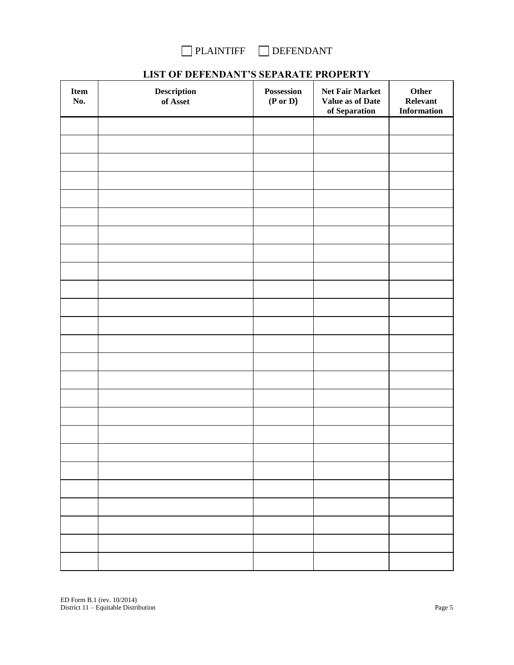

# **LIST OF DEFENDANT'S SEPARATE PROPERTY**

| Item<br>No. | $\begin{minipage}[c]{0.4\linewidth} \textbf{Description} \end{minipage} \vspace{-0.3cm}$<br>of Asset | Possession<br>$(P \text{ or } D)$ | Net Fair Market<br>Value as of Date<br>of Separation | Other<br>Relevant<br><b>Information</b> |
|-------------|------------------------------------------------------------------------------------------------------|-----------------------------------|------------------------------------------------------|-----------------------------------------|
|             |                                                                                                      |                                   |                                                      |                                         |
|             |                                                                                                      |                                   |                                                      |                                         |
|             |                                                                                                      |                                   |                                                      |                                         |
|             |                                                                                                      |                                   |                                                      |                                         |
|             |                                                                                                      |                                   |                                                      |                                         |
|             |                                                                                                      |                                   |                                                      |                                         |
|             |                                                                                                      |                                   |                                                      |                                         |
|             |                                                                                                      |                                   |                                                      |                                         |
|             |                                                                                                      |                                   |                                                      |                                         |
|             |                                                                                                      |                                   |                                                      |                                         |
|             |                                                                                                      |                                   |                                                      |                                         |
|             |                                                                                                      |                                   |                                                      |                                         |
|             |                                                                                                      |                                   |                                                      |                                         |
|             |                                                                                                      |                                   |                                                      |                                         |
|             |                                                                                                      |                                   |                                                      |                                         |
|             |                                                                                                      |                                   |                                                      |                                         |
|             |                                                                                                      |                                   |                                                      |                                         |
|             |                                                                                                      |                                   |                                                      |                                         |
|             |                                                                                                      |                                   |                                                      |                                         |
|             |                                                                                                      |                                   |                                                      |                                         |
|             |                                                                                                      |                                   |                                                      |                                         |
|             |                                                                                                      |                                   |                                                      |                                         |
|             |                                                                                                      |                                   |                                                      |                                         |
|             |                                                                                                      |                                   |                                                      |                                         |
|             |                                                                                                      |                                   |                                                      |                                         |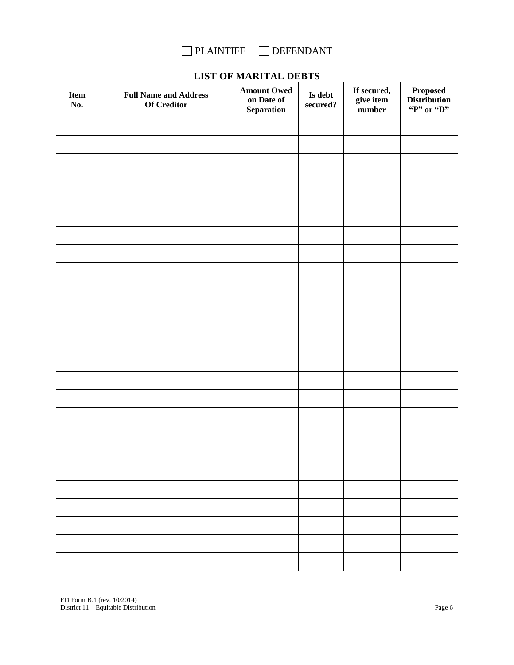

| $\rm{Item}$<br>No. | <b>Full Name and Address</b><br><b>Of Creditor</b> | LINE OF MARKETING DED TO<br><b>Amount Owed</b><br>on Date of | Is debt<br>secured? | If secured,<br>give item | Proposed<br>Distribution |
|--------------------|----------------------------------------------------|--------------------------------------------------------------|---------------------|--------------------------|--------------------------|
|                    |                                                    | Separation                                                   |                     | number                   | "P" or "D"               |
|                    |                                                    |                                                              |                     |                          |                          |
|                    |                                                    |                                                              |                     |                          |                          |
|                    |                                                    |                                                              |                     |                          |                          |
|                    |                                                    |                                                              |                     |                          |                          |
|                    |                                                    |                                                              |                     |                          |                          |
|                    |                                                    |                                                              |                     |                          |                          |
|                    |                                                    |                                                              |                     |                          |                          |
|                    |                                                    |                                                              |                     |                          |                          |
|                    |                                                    |                                                              |                     |                          |                          |
|                    |                                                    |                                                              |                     |                          |                          |
|                    |                                                    |                                                              |                     |                          |                          |
|                    |                                                    |                                                              |                     |                          |                          |
|                    |                                                    |                                                              |                     |                          |                          |
|                    |                                                    |                                                              |                     |                          |                          |
|                    |                                                    |                                                              |                     |                          |                          |
|                    |                                                    |                                                              |                     |                          |                          |
|                    |                                                    |                                                              |                     |                          |                          |
|                    |                                                    |                                                              |                     |                          |                          |
|                    |                                                    |                                                              |                     |                          |                          |
|                    |                                                    |                                                              |                     |                          |                          |
|                    |                                                    |                                                              |                     |                          |                          |
|                    |                                                    |                                                              |                     |                          |                          |
|                    |                                                    |                                                              |                     |                          |                          |
|                    |                                                    |                                                              |                     |                          |                          |
|                    |                                                    |                                                              |                     |                          |                          |
|                    |                                                    |                                                              |                     |                          |                          |
|                    |                                                    |                                                              |                     |                          |                          |
|                    |                                                    |                                                              |                     |                          |                          |

### **LIST OF MARITAL DEBTS**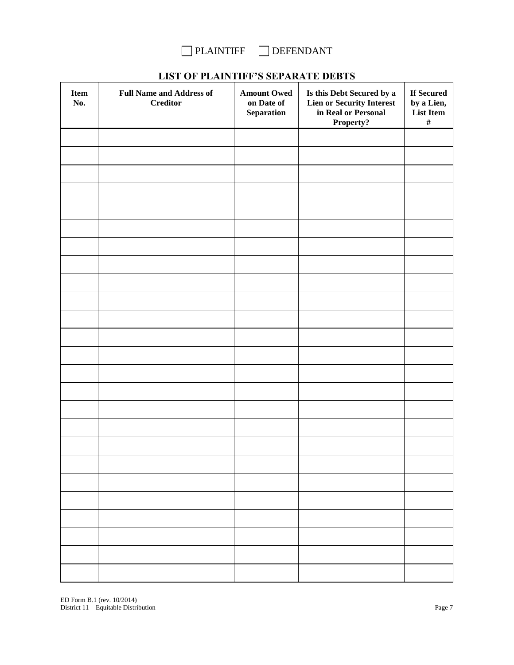

| <b>Item</b><br>No. | <b>Full Name and Address of</b><br><b>Creditor</b> | <b>Amount Owed</b><br>on Date of<br>Separation | Is this Debt Secured by a<br><b>Lien or Security Interest</b><br>in Real or Personal<br>Property? | If Secured<br>by a Lien,<br>List Item<br>$\#$ |
|--------------------|----------------------------------------------------|------------------------------------------------|---------------------------------------------------------------------------------------------------|-----------------------------------------------|
|                    |                                                    |                                                |                                                                                                   |                                               |
|                    |                                                    |                                                |                                                                                                   |                                               |
|                    |                                                    |                                                |                                                                                                   |                                               |
|                    |                                                    |                                                |                                                                                                   |                                               |
|                    |                                                    |                                                |                                                                                                   |                                               |
|                    |                                                    |                                                |                                                                                                   |                                               |
|                    |                                                    |                                                |                                                                                                   |                                               |
|                    |                                                    |                                                |                                                                                                   |                                               |
|                    |                                                    |                                                |                                                                                                   |                                               |
|                    |                                                    |                                                |                                                                                                   |                                               |
|                    |                                                    |                                                |                                                                                                   |                                               |
|                    |                                                    |                                                |                                                                                                   |                                               |
|                    |                                                    |                                                |                                                                                                   |                                               |
|                    |                                                    |                                                |                                                                                                   |                                               |
|                    |                                                    |                                                |                                                                                                   |                                               |
|                    |                                                    |                                                |                                                                                                   |                                               |
|                    |                                                    |                                                |                                                                                                   |                                               |
|                    |                                                    |                                                |                                                                                                   |                                               |
|                    |                                                    |                                                |                                                                                                   |                                               |
|                    |                                                    |                                                |                                                                                                   |                                               |
|                    |                                                    |                                                |                                                                                                   |                                               |
|                    |                                                    |                                                |                                                                                                   |                                               |
|                    |                                                    |                                                |                                                                                                   |                                               |
|                    |                                                    |                                                |                                                                                                   |                                               |
|                    |                                                    |                                                |                                                                                                   |                                               |

# **LIST OF PLAINTIFF'S SEPARATE DEBTS**